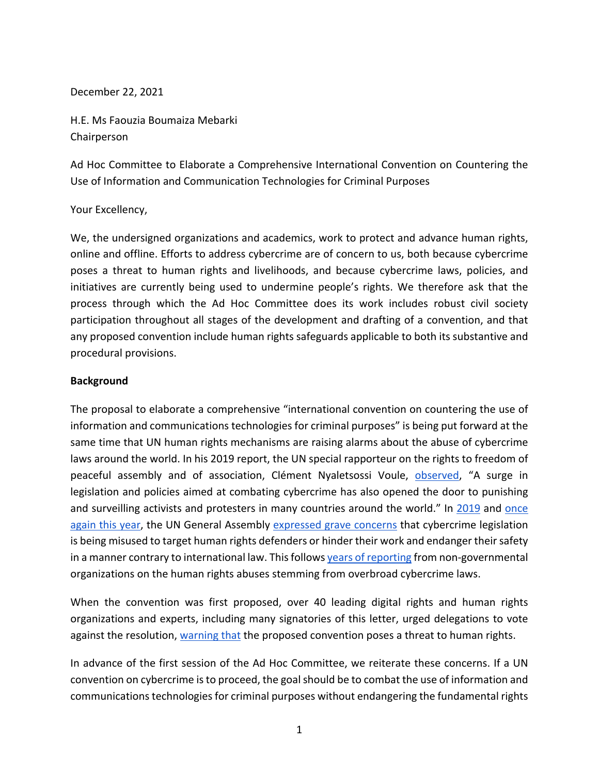December 22, 2021

H.E. Ms Faouzia Boumaiza Mebarki Chairperson

Ad Hoc Committee to Elaborate a Comprehensive International Convention on Countering the Use of Information and Communication Technologies for Criminal Purposes

### Your Excellency,

We, the undersigned organizations and academics, work to protect and advance human rights, online and offline. Efforts to address cybercrime are of concern to us, both because cybercrime poses a threat to human rights and livelihoods, and because cybercrime laws, policies, and initiatives are currently being used to undermine people's rights. We therefore ask that the process through which the Ad Hoc Committee does its work includes robust civil society participation throughout all stages of the development and drafting of a convention, and that any proposed convention include human rights safeguards applicable to both its substantive and procedural provisions.

### **Background**

The proposal to elaborate a comprehensive "international convention on countering the use of information and communications technologies for criminal purposes" is being put forward at the same time that UN human rights mechanisms are raising alarms about the abuse of cybercrime laws around the world. In his 2019 report, the UN special rapporteur on the rights to freedom of peaceful assembly and of association, Clément Nyaletsossi Voule, observed, "A surge in legislation and policies aimed at combating cybercrime has also opened the door to punishing and surveilling activists and protesters in many countries around the world." In 2019 and once again this year, the UN General Assembly expressed grave concerns that cybercrime legislation is being misused to target human rights defenders or hinder their work and endanger their safety in a manner contrary to international law. This follows years of reporting from non-governmental organizations on the human rights abuses stemming from overbroad cybercrime laws.

When the convention was first proposed, over 40 leading digital rights and human rights organizations and experts, including many signatories of this letter, urged delegations to vote against the resolution, warning that the proposed convention poses a threat to human rights.

In advance of the first session of the Ad Hoc Committee, we reiterate these concerns. If a UN convention on cybercrime is to proceed, the goal should be to combat the use of information and communications technologies for criminal purposes without endangering the fundamental rights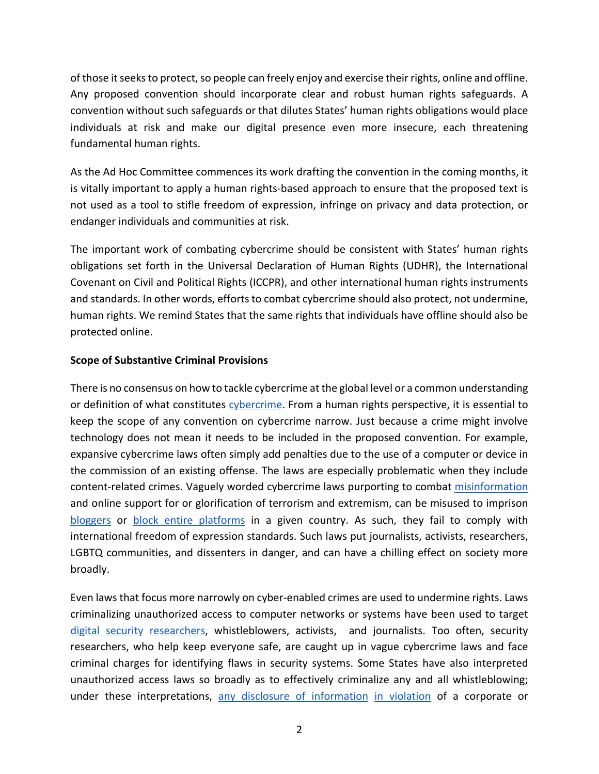of those it seeks to protect, so people can freely enjoy and exercise their rights, online and offline. Any proposed convention should incorporate clear and robust human rights safeguards. A convention without such safeguards or that dilutes States' human rights obligations would place individuals at risk and make our digital presence even more insecure, each threatening fundamental human rights.

As the Ad Hoc Committee commences its work drafting the convention in the coming months, it is vitally important to apply a human rights-based approach to ensure that the proposed text is not used as a tool to stifle freedom of expression, infringe on privacy and data protection, or endanger individuals and communities at risk.

The important work of combating cybercrime should be consistent with States' human rights obligations set forth in the Universal Declaration of Human Rights (UDHR), the International Covenant on Civil and Political Rights (ICCPR), and other international human rights instruments and standards. In other words, efforts to combat cybercrime should also protect, not undermine, human rights. We remind States that the same rights that individuals have offline should also be protected online.

## **Scope of Substantive Criminal Provisions**

There is no consensus on how to tackle cybercrime at the global level or a common understanding or definition of what constitutes cybercrime. From a human rights perspective, it is essential to keep the scope of any convention on cybercrime narrow. Just because a crime might involve technology does not mean it needs to be included in the proposed convention. For example, expansive cybercrime laws often simply add penalties due to the use of a computer or device in the commission of an existing offense. The laws are especially problematic when they include content-related crimes. Vaguely worded cybercrime laws purporting to combat misinformation and online support for or glorification of terrorism and extremism, can be misused to imprison bloggers or block entire platforms in a given country. As such, they fail to comply with international freedom of expression standards. Such laws put journalists, activists, researchers, LGBTQ communities, and dissenters in danger, and can have a chilling effect on society more broadly.

Even laws that focus more narrowly on cyber-enabled crimes are used to undermine rights. Laws criminalizing unauthorized access to computer networks or systems have been used to target digital security researchers, whistleblowers, activists, and journalists. Too often, security researchers, who help keep everyone safe, are caught up in vague cybercrime laws and face criminal charges for identifying flaws in security systems. Some States have also interpreted unauthorized access laws so broadly as to effectively criminalize any and all whistleblowing; under these interpretations, any disclosure of information in violation of a corporate or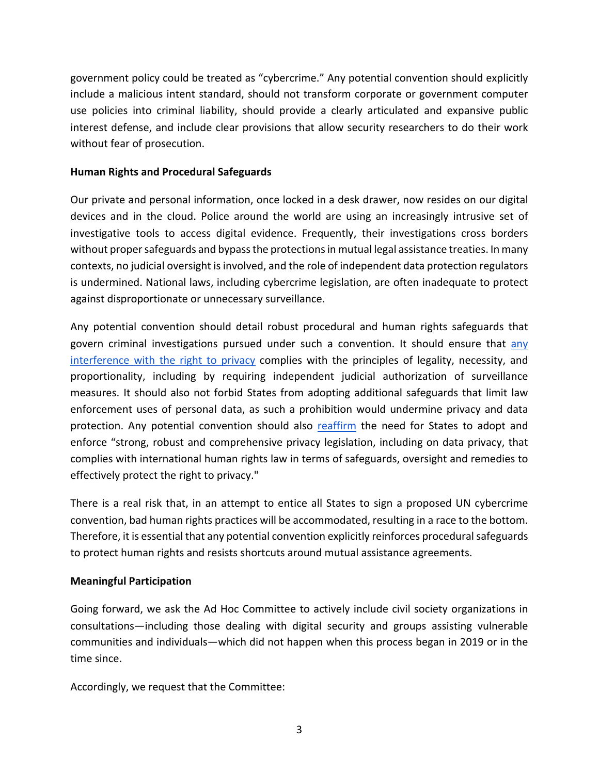government policy could be treated as "cybercrime." Any potential convention should explicitly include a malicious intent standard, should not transform corporate or government computer use policies into criminal liability, should provide a clearly articulated and expansive public interest defense, and include clear provisions that allow security researchers to do their work without fear of prosecution.

### **Human Rights and Procedural Safeguards**

Our private and personal information, once locked in a desk drawer, now resides on our digital devices and in the cloud. Police around the world are using an increasingly intrusive set of investigative tools to access digital evidence. Frequently, their investigations cross borders without proper safeguards and bypass the protections in mutual legal assistance treaties. In many contexts, no judicial oversight is involved, and the role of independent data protection regulators is undermined. National laws, including cybercrime legislation, are often inadequate to protect against disproportionate or unnecessary surveillance.

Any potential convention should detail robust procedural and human rights safeguards that govern criminal investigations pursued under such a convention. It should ensure that any interference with the right to privacy complies with the principles of legality, necessity, and proportionality, including by requiring independent judicial authorization of surveillance measures. It should also not forbid States from adopting additional safeguards that limit law enforcement uses of personal data, as such a prohibition would undermine privacy and data protection. Any potential convention should also reaffirm the need for States to adopt and enforce "strong, robust and comprehensive privacy legislation, including on data privacy, that complies with international human rights law in terms of safeguards, oversight and remedies to effectively protect the right to privacy."

There is a real risk that, in an attempt to entice all States to sign a proposed UN cybercrime convention, bad human rights practices will be accommodated, resulting in a race to the bottom. Therefore, it is essential that any potential convention explicitly reinforces procedural safeguards to protect human rights and resists shortcuts around mutual assistance agreements.

### **Meaningful Participation**

Going forward, we ask the Ad Hoc Committee to actively include civil society organizations in consultations—including those dealing with digital security and groups assisting vulnerable communities and individuals—which did not happen when this process began in 2019 or in the time since.

Accordingly, we request that the Committee: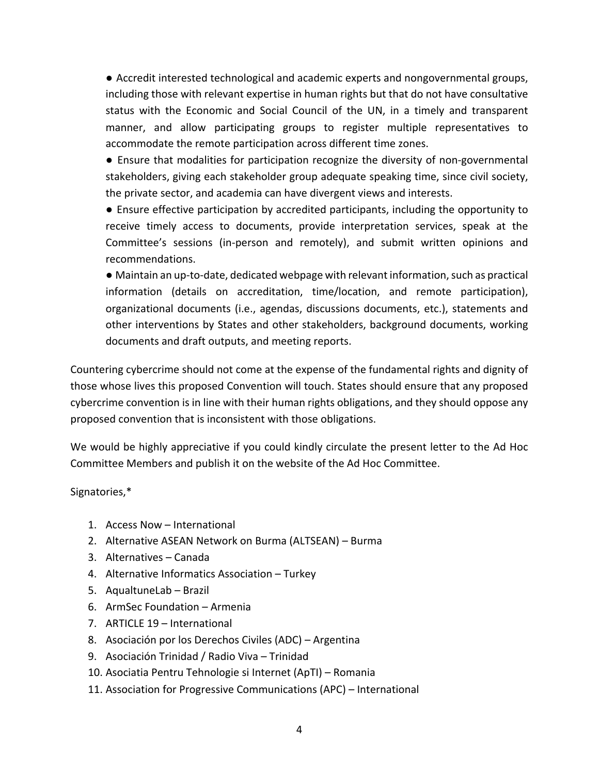● Accredit interested technological and academic experts and nongovernmental groups, including those with relevant expertise in human rights but that do not have consultative status with the Economic and Social Council of the UN, in a timely and transparent manner, and allow participating groups to register multiple representatives to accommodate the remote participation across different time zones.

● Ensure that modalities for participation recognize the diversity of non-governmental stakeholders, giving each stakeholder group adequate speaking time, since civil society, the private sector, and academia can have divergent views and interests.

● Ensure effective participation by accredited participants, including the opportunity to receive timely access to documents, provide interpretation services, speak at the Committee's sessions (in-person and remotely), and submit written opinions and recommendations.

● Maintain an up-to-date, dedicated webpage with relevant information, such as practical information (details on accreditation, time/location, and remote participation), organizational documents (i.e., agendas, discussions documents, etc.), statements and other interventions by States and other stakeholders, background documents, working documents and draft outputs, and meeting reports.

Countering cybercrime should not come at the expense of the fundamental rights and dignity of those whose lives this proposed Convention will touch. States should ensure that any proposed cybercrime convention is in line with their human rights obligations, and they should oppose any proposed convention that is inconsistent with those obligations.

We would be highly appreciative if you could kindly circulate the present letter to the Ad Hoc Committee Members and publish it on the website of the Ad Hoc Committee.

Signatories,\*

- 1. Access Now International
- 2. Alternative ASEAN Network on Burma (ALTSEAN) Burma
- 3. Alternatives Canada
- 4. Alternative Informatics Association Turkey
- 5. AqualtuneLab Brazil
- 6. ArmSec Foundation Armenia
- 7. ARTICLE 19 International
- 8. Asociación por los Derechos Civiles (ADC) Argentina
- 9. Asociación Trinidad / Radio Viva Trinidad
- 10. Asociatia Pentru Tehnologie si Internet (ApTI) Romania
- 11. Association for Progressive Communications (APC) International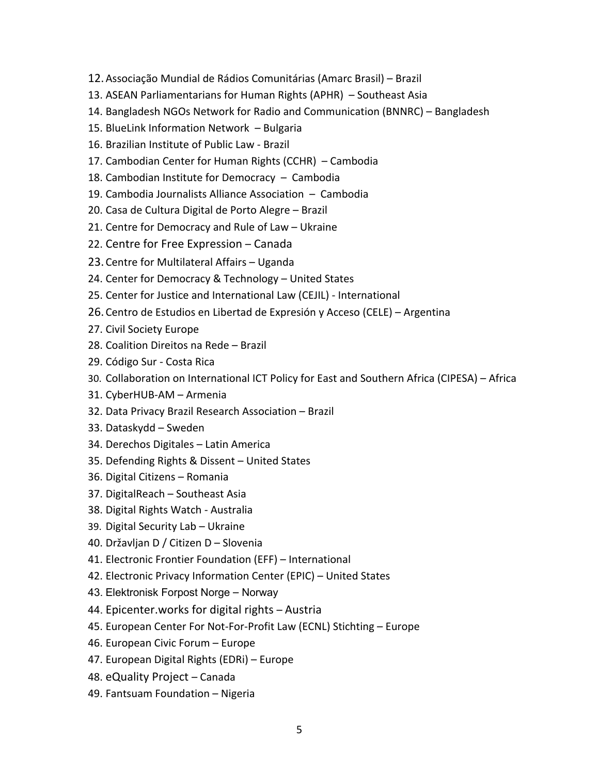- 12.Associação Mundial de Rádios Comunitárias (Amarc Brasil) Brazil
- 13. ASEAN Parliamentarians for Human Rights (APHR) Southeast Asia
- 14. Bangladesh NGOs Network for Radio and Communication (BNNRC) Bangladesh
- 15. BlueLink Information Network Bulgaria
- 16. Brazilian Institute of Public Law Brazil
- 17. Cambodian Center for Human Rights (CCHR) Cambodia
- 18. Cambodian Institute for Democracy Cambodia
- 19. Cambodia Journalists Alliance Association Cambodia
- 20. Casa de Cultura Digital de Porto Alegre Brazil
- 21. Centre for Democracy and Rule of Law Ukraine
- 22. Centre for Free Expression Canada
- 23.Centre for Multilateral Affairs Uganda
- 24. Center for Democracy & Technology United States
- 25. Center for Justice and International Law (CEJIL) International
- 26.Centro de Estudios en Libertad de Expresión y Acceso (CELE) Argentina
- 27. Civil Society Europe
- 28. Coalition Direitos na Rede Brazil
- 29. Código Sur Costa Rica
- 30. Collaboration on International ICT Policy for East and Southern Africa (CIPESA) Africa
- 31. CyberHUB-AM Armenia
- 32. Data Privacy Brazil Research Association Brazil
- 33. Dataskydd Sweden
- 34. Derechos Digitales Latin America
- 35. Defending Rights & Dissent United States
- 36. Digital Citizens Romania
- 37. DigitalReach Southeast Asia
- 38. Digital Rights Watch Australia
- 39. Digital Security Lab Ukraine
- 40. Državljan D / Citizen D Slovenia
- 41. Electronic Frontier Foundation (EFF) International
- 42. Electronic Privacy Information Center (EPIC) United States
- 43. Elektronisk Forpost Norge Norway
- 44. Epicenter.works for digital rights Austria
- 45. European Center For Not-For-Profit Law (ECNL) Stichting Europe
- 46. European Civic Forum Europe
- 47. European Digital Rights (EDRi) Europe
- 48. eQuality Project Canada
- 49. Fantsuam Foundation Nigeria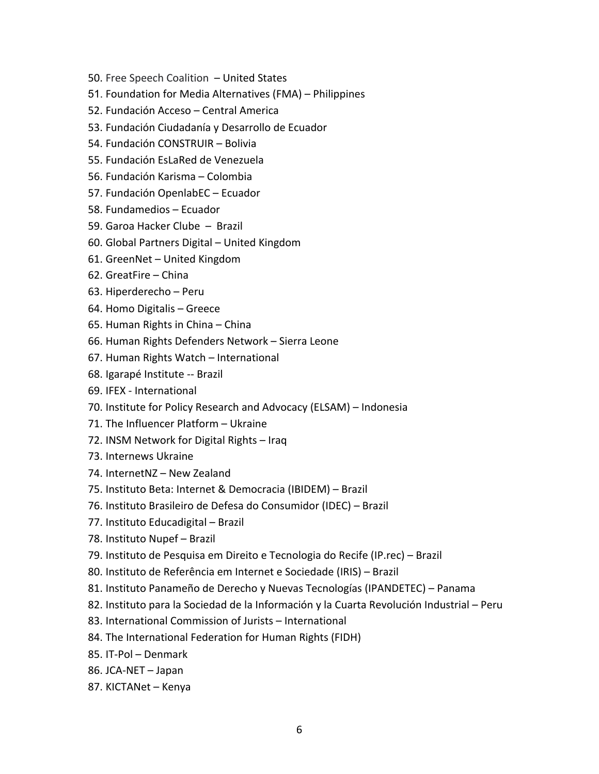- 50. Free Speech Coalition United States
- 51. Foundation for Media Alternatives (FMA) Philippines
- 52. Fundación Acceso Central America
- 53. Fundación Ciudadanía y Desarrollo de Ecuador
- 54. Fundación CONSTRUIR Bolivia
- 55. Fundación EsLaRed de Venezuela
- 56. Fundación Karisma Colombia
- 57. Fundación OpenlabEC Ecuador
- 58. Fundamedios Ecuador
- 59. Garoa Hacker Clube Brazil
- 60. Global Partners Digital United Kingdom
- 61. GreenNet United Kingdom
- 62. GreatFire China
- 63. Hiperderecho Peru
- 64. Homo Digitalis Greece
- 65. Human Rights in China China
- 66. Human Rights Defenders Network Sierra Leone
- 67. Human Rights Watch International
- 68. Igarapé Institute -- Brazil
- 69. IFEX International
- 70. Institute for Policy Research and Advocacy (ELSAM) Indonesia
- 71. The Influencer Platform Ukraine
- 72. INSM Network for Digital Rights Iraq
- 73. Internews Ukraine
- 74. InternetNZ New Zealand
- 75. Instituto Beta: Internet & Democracia (IBIDEM) Brazil
- 76. Instituto Brasileiro de Defesa do Consumidor (IDEC) Brazil
- 77. Instituto Educadigital Brazil
- 78. Instituto Nupef Brazil
- 79. Instituto de Pesquisa em Direito e Tecnologia do Recife (IP.rec) Brazil
- 80. Instituto de Referência em Internet e Sociedade (IRIS) Brazil
- 81. Instituto Panameño de Derecho y Nuevas Tecnologías (IPANDETEC) Panama
- 82. Instituto para la Sociedad de la Información y la Cuarta Revolución Industrial Peru
- 83. International Commission of Jurists International
- 84. The International Federation for Human Rights (FIDH)
- 85. IT-Pol Denmark
- 86. JCA-NET Japan
- 87. KICTANet Kenya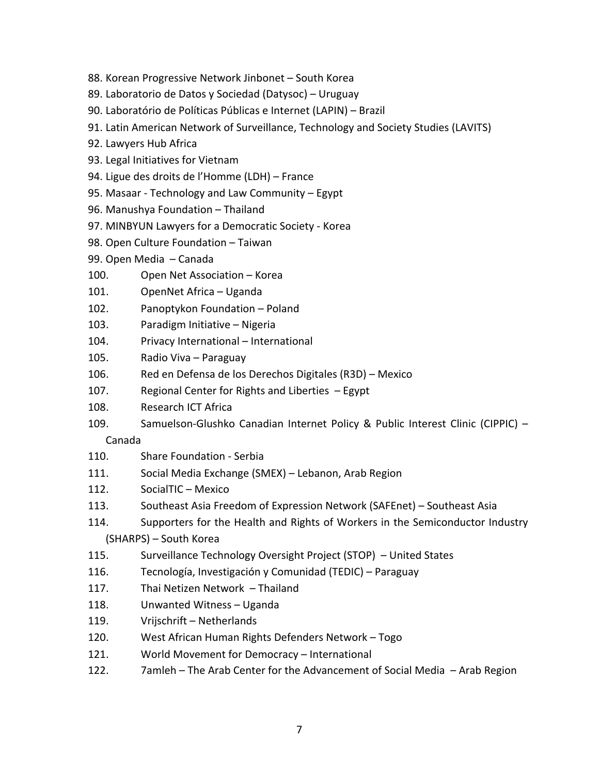- 88. Korean Progressive Network Jinbonet South Korea
- 89. Laboratorio de Datos y Sociedad (Datysoc) Uruguay
- 90. Laboratório de Políticas Públicas e Internet (LAPIN) Brazil
- 91. Latin American Network of Surveillance, Technology and Society Studies (LAVITS)
- 92. Lawyers Hub Africa
- 93. Legal Initiatives for Vietnam
- 94. Ligue des droits de l'Homme (LDH) France
- 95. Masaar Technology and Law Community Egypt
- 96. Manushya Foundation Thailand
- 97. MINBYUN Lawyers for a Democratic Society Korea
- 98. Open Culture Foundation Taiwan
- 99. Open Media Canada
- 100. Open Net Association Korea
- 101. OpenNet Africa Uganda
- 102. Panoptykon Foundation Poland
- 103. Paradigm Initiative Nigeria
- 104. Privacy International International
- 105. Radio Viva Paraguay
- 106. Red en Defensa de los Derechos Digitales (R3D) Mexico
- 107. Regional Center for Rights and Liberties Egypt
- 108. Research ICT Africa
- 109. Samuelson-Glushko Canadian Internet Policy & Public Interest Clinic (CIPPIC) –

Canada

- 110. Share Foundation Serbia
- 111. Social Media Exchange (SMEX) Lebanon, Arab Region
- 112. SocialTIC Mexico
- 113. Southeast Asia Freedom of Expression Network (SAFEnet) Southeast Asia
- 114. Supporters for the Health and Rights of Workers in the Semiconductor Industry (SHARPS) – South Korea
- 115. Surveillance Technology Oversight Project (STOP) United States
- 116. Tecnología, Investigación y Comunidad (TEDIC) Paraguay
- 117. Thai Netizen Network Thailand
- 118. Unwanted Witness Uganda
- 119. Vrijschrift Netherlands
- 120. West African Human Rights Defenders Network Togo
- 121. World Movement for Democracy International
- 122. 7amleh The Arab Center for the Advancement of Social Media Arab Region